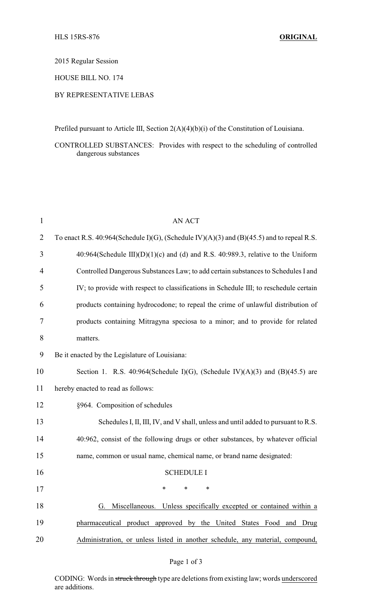2015 Regular Session

HOUSE BILL NO. 174

## BY REPRESENTATIVE LEBAS

Prefiled pursuant to Article III, Section 2(A)(4)(b)(i) of the Constitution of Louisiana.

CONTROLLED SUBSTANCES: Provides with respect to the scheduling of controlled dangerous substances

| $\mathbf{1}$   | <b>AN ACT</b>                                                                             |  |
|----------------|-------------------------------------------------------------------------------------------|--|
| $\overline{2}$ | To enact R.S. 40:964(Schedule I)(G), (Schedule IV)(A)(3) and (B)(45.5) and to repeal R.S. |  |
| 3              | 40:964(Schedule III)(D)(1)(c) and (d) and R.S. 40:989.3, relative to the Uniform          |  |
| 4              | Controlled Dangerous Substances Law; to add certain substances to Schedules I and         |  |
| 5              | IV; to provide with respect to classifications in Schedule III; to reschedule certain     |  |
| 6              | products containing hydrocodone; to repeal the crime of unlawful distribution of          |  |
| 7              | products containing Mitragyna speciosa to a minor; and to provide for related             |  |
| 8              | matters.                                                                                  |  |
| 9              | Be it enacted by the Legislature of Louisiana:                                            |  |
| 10             | Section 1. R.S. 40:964(Schedule I)(G), (Schedule IV)(A)(3) and (B)(45.5) are              |  |
| 11             | hereby enacted to read as follows:                                                        |  |
| 12             | §964. Composition of schedules                                                            |  |
| 13             | Schedules I, II, III, IV, and V shall, unless and until added to pursuant to R.S.         |  |
| 14             | 40:962, consist of the following drugs or other substances, by whatever official          |  |
| 15             | name, common or usual name, chemical name, or brand name designated:                      |  |
| 16             | <b>SCHEDULE I</b>                                                                         |  |
| 17             |                                                                                           |  |
| 18             | G. Miscellaneous. Unless specifically excepted or contained within a                      |  |
| 19             | pharmaceutical product approved by the United States Food and Drug                        |  |
| 20             | Administration, or unless listed in another schedule, any material, compound,             |  |

## Page 1 of 3

CODING: Words in struck through type are deletions from existing law; words underscored are additions.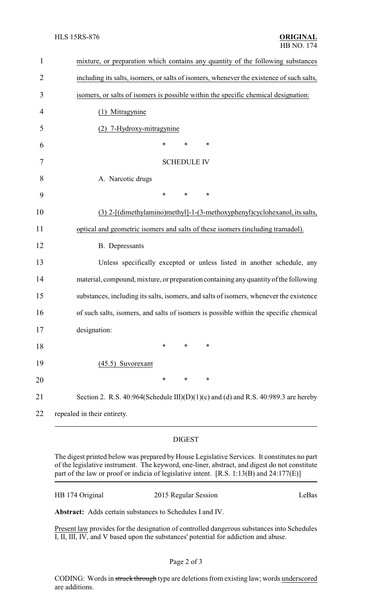| $\mathbf 1$    | mixture, or preparation which contains any quantity of the following substances          |
|----------------|------------------------------------------------------------------------------------------|
| $\overline{2}$ | including its salts, isomers, or salts of isomers, whenever the existence of such salts, |
| 3              | isomers, or salts of isomers is possible within the specific chemical designation:       |
| 4              | (1) Mitragynine                                                                          |
| 5              | 7-Hydroxy-mitragynine                                                                    |
| 6              | *<br>*<br>∗                                                                              |
| 7              | <b>SCHEDULE IV</b>                                                                       |
| 8              | A. Narcotic drugs                                                                        |
| 9              | *<br>$\ast$<br>*                                                                         |
| 10             | (3) 2-[(dimethylamino)methyl]-1-(3-methoxyphenyl)cyclohexanol, its salts,                |
| 11             | optical and geometric isomers and salts of these isomers (including tramadol).           |
| 12             | <b>B.</b> Depressants                                                                    |
| 13             | Unless specifically excepted or unless listed in another schedule, any                   |
| 14             | material, compound, mixture, or preparation containing any quantity of the following     |
| 15             | substances, including its salts, isomers, and salts of isomers, whenever the existence   |
| 16             | of such salts, isomers, and salts of isomers is possible within the specific chemical    |
| 17             | designation:                                                                             |
| 18             | *<br>*<br>∗                                                                              |
| 19             | $(45.5)$ Suvorexant                                                                      |
| 20             | $\ast$<br>$\ast$<br>*                                                                    |
| 21             | Section 2. R.S. 40:964(Schedule III)(D)(1)(c) and (d) and R.S. 40:989.3 are hereby       |
| 22             | repealed in their entirety.                                                              |
|                |                                                                                          |

## DIGEST

The digest printed below was prepared by House Legislative Services. It constitutes no part of the legislative instrument. The keyword, one-liner, abstract, and digest do not constitute part of the law or proof or indicia of legislative intent. [R.S. 1:13(B) and 24:177(E)]

| HB 174 Original | 2015 Regular Session | LeBas |
|-----------------|----------------------|-------|
|-----------------|----------------------|-------|

**Abstract:** Adds certain substances to Schedules I and IV.

Present law provides for the designation of controlled dangerous substances into Schedules I, II, III, IV, and V based upon the substances' potential for addiction and abuse.